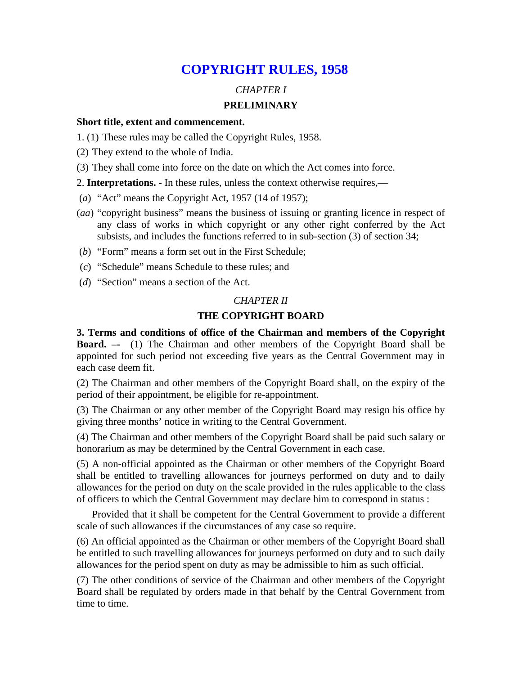## **COPYRIGHT RULES, 1958**

## *CHAPTER I*  **PRELIMINARY**

#### **Short title, extent and commencement.**

- 1. (1) These rules may be called the Copyright Rules, 1958.
- (2) They extend to the whole of India.

(3) They shall come into force on the date on which the Act comes into force.

2. **Interpretations. -** In these rules, unless the context otherwise requires,—

- (*a*) "Act" means the Copyright Act, 1957 (14 of 1957);
- (*aa*) "copyright business" means the business of issuing or granting licence in respect of any class of works in which copyright or any other right conferred by the Act subsists, and includes the functions referred to in sub-section (3) of section 34;
- (*b*) "Form" means a form set out in the First Schedule;
- (*c*) "Schedule" means Schedule to these rules; and
- (*d*) "Section" means a section of the Act.

### *CHAPTER II*

### **THE COPYRIGHT BOARD**

**3. Terms and conditions of office of the Chairman and members of the Copyright Board. –-** (1) The Chairman and other members of the Copyright Board shall be appointed for such period not exceeding five years as the Central Government may in each case deem fit.

(2) The Chairman and other members of the Copyright Board shall, on the expiry of the period of their appointment, be eligible for re-appointment.

(3) The Chairman or any other member of the Copyright Board may resign his office by giving three months' notice in writing to the Central Government.

(4) The Chairman and other members of the Copyright Board shall be paid such salary or honorarium as may be determined by the Central Government in each case.

(5) A non-official appointed as the Chairman or other members of the Copyright Board shall be entitled to travelling allowances for journeys performed on duty and to daily allowances for the period on duty on the scale provided in the rules applicable to the class of officers to which the Central Government may declare him to correspond in status :

 Provided that it shall be competent for the Central Government to provide a different scale of such allowances if the circumstances of any case so require.

(6) An official appointed as the Chairman or other members of the Copyright Board shall be entitled to such travelling allowances for journeys performed on duty and to such daily allowances for the period spent on duty as may be admissible to him as such official.

(7) The other conditions of service of the Chairman and other members of the Copyright Board shall be regulated by orders made in that behalf by the Central Government from time to time.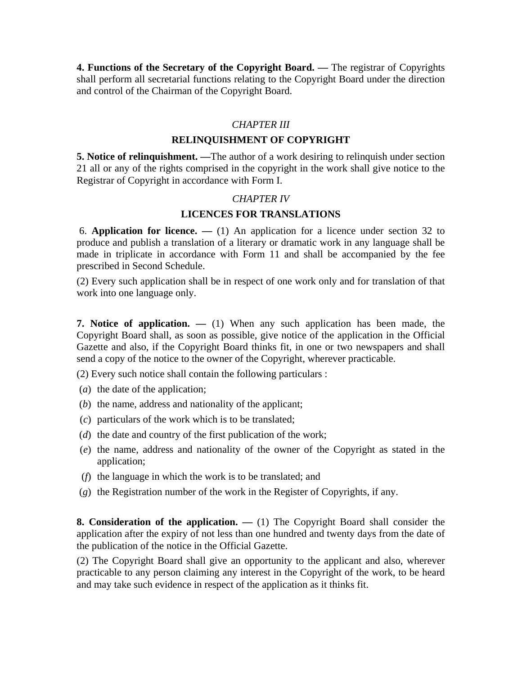**4. Functions of the Secretary of the Copyright Board. —** The registrar of Copyrights shall perform all secretarial functions relating to the Copyright Board under the direction and control of the Chairman of the Copyright Board.

### *CHAPTER III*

### **RELINQUISHMENT OF COPYRIGHT**

**5. Notice of relinquishment. —**The author of a work desiring to relinquish under section 21 all or any of the rights comprised in the copyright in the work shall give notice to the Registrar of Copyright in accordance with Form I.

### *CHAPTER IV*

### **LICENCES FOR TRANSLATIONS**

6. **Application for licence. —** (1) An application for a licence under section 32 to produce and publish a translation of a literary or dramatic work in any language shall be made in triplicate in accordance with Form 11 and shall be accompanied by the fee prescribed in Second Schedule.

(2) Every such application shall be in respect of one work only and for translation of that work into one language only.

**7. Notice of application. —** (1) When any such application has been made, the Copyright Board shall, as soon as possible, give notice of the application in the Official Gazette and also, if the Copyright Board thinks fit, in one or two newspapers and shall send a copy of the notice to the owner of the Copyright, wherever practicable.

(2) Every such notice shall contain the following particulars :

- (*a*) the date of the application;
- (*b*) the name, address and nationality of the applicant;
- (*c*) particulars of the work which is to be translated;
- (*d*) the date and country of the first publication of the work;
- (*e*) the name, address and nationality of the owner of the Copyright as stated in the application;
- (*f*) the language in which the work is to be translated; and
- (*g*) the Registration number of the work in the Register of Copyrights, if any.

**8. Consideration of the application. —** (1) The Copyright Board shall consider the application after the expiry of not less than one hundred and twenty days from the date of the publication of the notice in the Official Gazette.

(2) The Copyright Board shall give an opportunity to the applicant and also, wherever practicable to any person claiming any interest in the Copyright of the work, to be heard and may take such evidence in respect of the application as it thinks fit.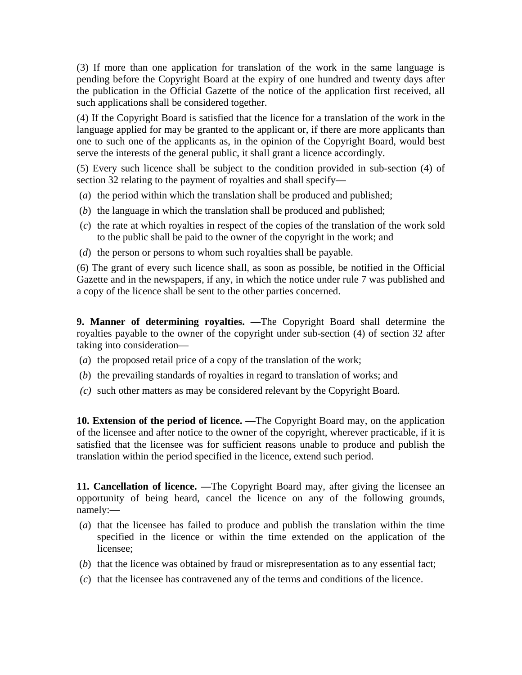(3) If more than one application for translation of the work in the same language is pending before the Copyright Board at the expiry of one hundred and twenty days after the publication in the Official Gazette of the notice of the application first received, all such applications shall be considered together.

(4) If the Copyright Board is satisfied that the licence for a translation of the work in the language applied for may be granted to the applicant or, if there are more applicants than one to such one of the applicants as, in the opinion of the Copyright Board, would best serve the interests of the general public, it shall grant a licence accordingly.

(5) Every such licence shall be subject to the condition provided in sub-section (4) of section 32 relating to the payment of royalties and shall specify—

- (*a*) the period within which the translation shall be produced and published;
- (*b*) the language in which the translation shall be produced and published;
- (*c*) the rate at which royalties in respect of the copies of the translation of the work sold to the public shall be paid to the owner of the copyright in the work; and
- (*d*) the person or persons to whom such royalties shall be payable.

(6) The grant of every such licence shall, as soon as possible, be notified in the Official Gazette and in the newspapers, if any, in which the notice under rule 7 was published and a copy of the licence shall be sent to the other parties concerned.

**9. Manner of determining royalties. —**The Copyright Board shall determine the royalties payable to the owner of the copyright under sub-section (4) of section 32 after taking into consideration—

- (*a*) the proposed retail price of a copy of the translation of the work;
- (*b*) the prevailing standards of royalties in regard to translation of works; and
- *(c)* such other matters as may be considered relevant by the Copyright Board.

**10. Extension of the period of licence. —**The Copyright Board may, on the application of the licensee and after notice to the owner of the copyright, wherever practicable, if it is satisfied that the licensee was for sufficient reasons unable to produce and publish the translation within the period specified in the licence, extend such period.

**11. Cancellation of licence. —**The Copyright Board may, after giving the licensee an opportunity of being heard, cancel the licence on any of the following grounds, namely:—

- (*a*) that the licensee has failed to produce and publish the translation within the time specified in the licence or within the time extended on the application of the licensee;
- (*b*) that the licence was obtained by fraud or misrepresentation as to any essential fact;
- (*c*) that the licensee has contravened any of the terms and conditions of the licence.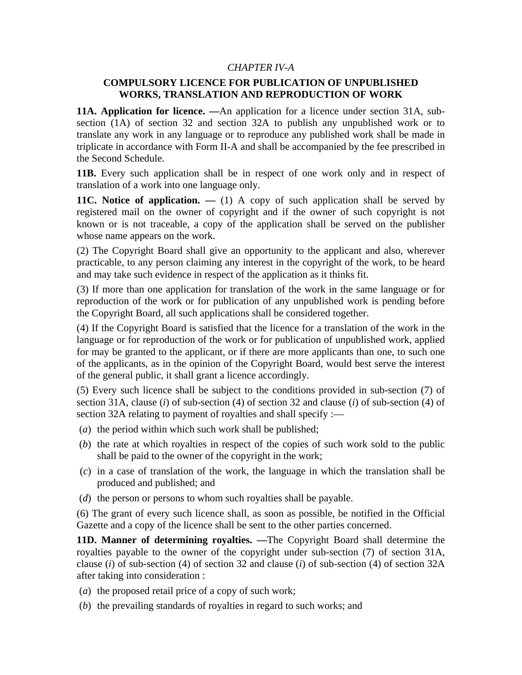### *CHAPTER IV-A*

### **COMPULSORY LICENCE FOR PUBLICATION OF UNPUBLISHED WORKS, TRANSLATION AND REPRODUCTION OF WORK**

**11A. Application for licence. —**An application for a licence under section 31A, subsection (1A) of section 32 and section 32A to publish any unpublished work or to translate any work in any language or to reproduce any published work shall be made in triplicate in accordance with Form II-A and shall be accompanied by the fee prescribed in the Second Schedule.

**11B.** Every such application shall be in respect of one work only and in respect of translation of a work into one language only.

**11C.** Notice of application. — (1) A copy of such application shall be served by registered mail on the owner of copyright and if the owner of such copyright is not known or is not traceable, a copy of the application shall be served on the publisher whose name appears on the work.

(2) The Copyright Board shall give an opportunity to the applicant and also, wherever practicable, to any person claiming any interest in the copyright of the work, to be heard and may take such evidence in respect of the application as it thinks fit.

(3) If more than one application for translation of the work in the same language or for reproduction of the work or for publication of any unpublished work is pending before the Copyright Board, all such applications shall be considered together.

(4) If the Copyright Board is satisfied that the licence for a translation of the work in the language or for reproduction of the work or for publication of unpublished work, applied for may be granted to the applicant, or if there are more applicants than one, to such one of the applicants, as in the opinion of the Copyright Board, would best serve the interest of the general public, it shall grant a licence accordingly.

(5) Every such licence shall be subject to the conditions provided in sub-section (7) of section 31A, clause (*i*) of sub-section (4) of section 32 and clause (*i*) of sub-section (4) of section 32A relating to payment of royalties and shall specify :—

- (*a*) the period within which such work shall be published;
- (*b*) the rate at which royalties in respect of the copies of such work sold to the public shall be paid to the owner of the copyright in the work;
- (*c*) in a case of translation of the work, the language in which the translation shall be produced and published; and
- (*d*) the person or persons to whom such royalties shall be payable.

(6) The grant of every such licence shall, as soon as possible, be notified in the Official Gazette and a copy of the licence shall be sent to the other parties concerned.

**11D. Manner of determining royalties. —**The Copyright Board shall determine the royalties payable to the owner of the copyright under sub-section (7) of section 31A, clause (*i*) of sub-section (4) of section 32 and clause (*i*) of sub-section (4) of section 32A after taking into consideration :

- (*a*) the proposed retail price of a copy of such work;
- (*b*) the prevailing standards of royalties in regard to such works; and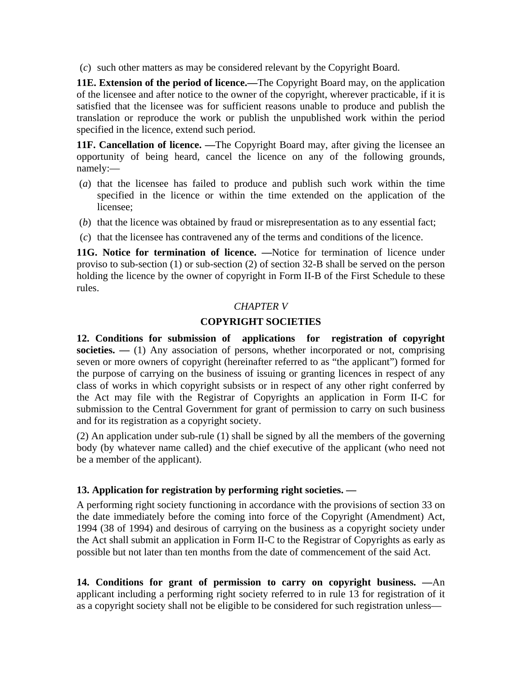(*c*) such other matters as may be considered relevant by the Copyright Board.

**11E. Extension of the period of licence.—**The Copyright Board may, on the application of the licensee and after notice to the owner of the copyright, wherever practicable, if it is satisfied that the licensee was for sufficient reasons unable to produce and publish the translation or reproduce the work or publish the unpublished work within the period specified in the licence, extend such period.

**11F. Cancellation of licence.** —The Copyright Board may, after giving the licensee an opportunity of being heard, cancel the licence on any of the following grounds, namely:—

- (*a*) that the licensee has failed to produce and publish such work within the time specified in the licence or within the time extended on the application of the licensee;
- (*b*) that the licence was obtained by fraud or misrepresentation as to any essential fact;
- (*c*) that the licensee has contravened any of the terms and conditions of the licence.

**11G. Notice for termination of licence. —**Notice for termination of licence under proviso to sub-section (1) or sub-section (2) of section 32-B shall be served on the person holding the licence by the owner of copyright in Form II-B of the First Schedule to these rules.

## *CHAPTER V*

## **COPYRIGHT SOCIETIES**

**12. Conditions for submission of applications for registration of copyright societies.** — (1) Any association of persons, whether incorporated or not, comprising seven or more owners of copyright (hereinafter referred to as "the applicant") formed for the purpose of carrying on the business of issuing or granting licences in respect of any class of works in which copyright subsists or in respect of any other right conferred by the Act may file with the Registrar of Copyrights an application in Form II-C for submission to the Central Government for grant of permission to carry on such business and for its registration as a copyright society.

(2) An application under sub-rule (1) shall be signed by all the members of the governing body (by whatever name called) and the chief executive of the applicant (who need not be a member of the applicant).

## **13. Application for registration by performing right societies. —**

A performing right society functioning in accordance with the provisions of section 33 on the date immediately before the coming into force of the Copyright (Amendment) Act, 1994 (38 of 1994) and desirous of carrying on the business as a copyright society under the Act shall submit an application in Form II-C to the Registrar of Copyrights as early as possible but not later than ten months from the date of commencement of the said Act.

**14. Conditions for grant of permission to carry on copyright business. —**An applicant including a performing right society referred to in rule 13 for registration of it as a copyright society shall not be eligible to be considered for such registration unless—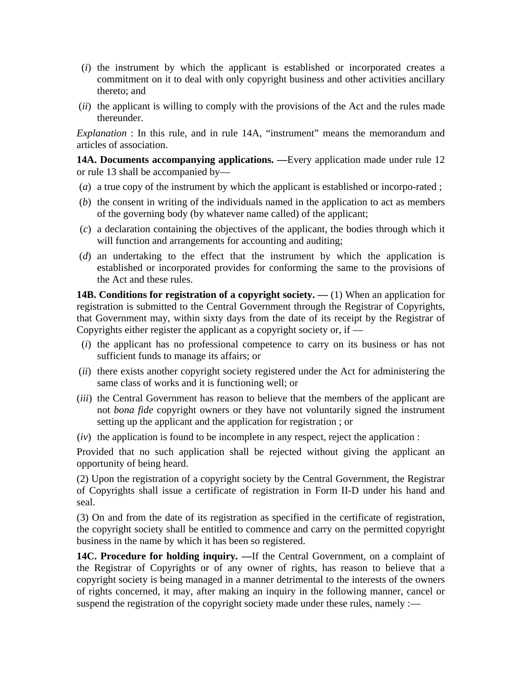- (*i*) the instrument by which the applicant is established or incorporated creates a commitment on it to deal with only copyright business and other activities ancillary thereto; and
- (*ii*) the applicant is willing to comply with the provisions of the Act and the rules made thereunder.

*Explanation* : In this rule, and in rule 14A, "instrument" means the memorandum and articles of association.

**14A. Documents accompanying applications. —**Every application made under rule 12 or rule 13 shall be accompanied by—

- (*a*) a true copy of the instrument by which the applicant is established or incorpo-rated ;
- (*b*) the consent in writing of the individuals named in the application to act as members of the governing body (by whatever name called) of the applicant;
- (*c*) a declaration containing the objectives of the applicant, the bodies through which it will function and arrangements for accounting and auditing;
- (*d*) an undertaking to the effect that the instrument by which the application is established or incorporated provides for conforming the same to the provisions of the Act and these rules.

**14B. Conditions for registration of a copyright society. —** (1) When an application for registration is submitted to the Central Government through the Registrar of Copyrights, that Government may, within sixty days from the date of its receipt by the Registrar of Copyrights either register the applicant as a copyright society or, if  $-$ 

- (*i*) the applicant has no professional competence to carry on its business or has not sufficient funds to manage its affairs; or
- (*ii*) there exists another copyright society registered under the Act for administering the same class of works and it is functioning well; or
- (*iii*) the Central Government has reason to believe that the members of the applicant are not *bona fide* copyright owners or they have not voluntarily signed the instrument setting up the applicant and the application for registration ; or
- (*iv*) the application is found to be incomplete in any respect, reject the application :

Provided that no such application shall be rejected without giving the applicant an opportunity of being heard.

(2) Upon the registration of a copyright society by the Central Government, the Registrar of Copyrights shall issue a certificate of registration in Form II-D under his hand and seal.

(3) On and from the date of its registration as specified in the certificate of registration, the copyright society shall be entitled to commence and carry on the permitted copyright business in the name by which it has been so registered.

**14C. Procedure for holding inquiry. —**If the Central Government, on a complaint of the Registrar of Copyrights or of any owner of rights, has reason to believe that a copyright society is being managed in a manner detrimental to the interests of the owners of rights concerned, it may, after making an inquiry in the following manner, cancel or suspend the registration of the copyright society made under these rules, namely :—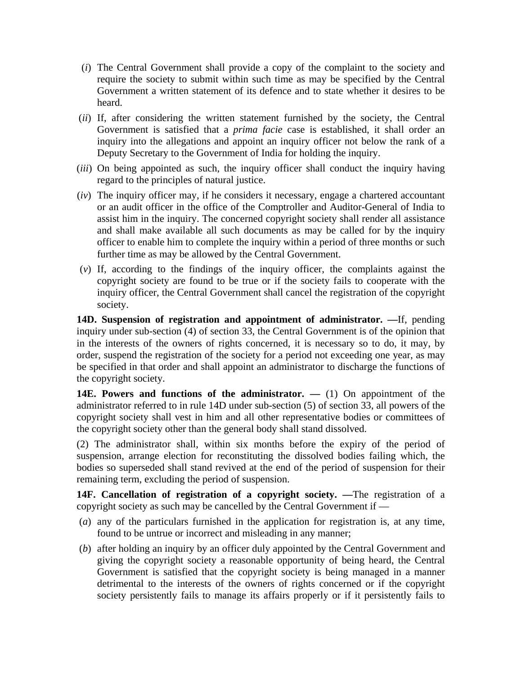- (*i*) The Central Government shall provide a copy of the complaint to the society and require the society to submit within such time as may be specified by the Central Government a written statement of its defence and to state whether it desires to be heard.
- (*ii*) If, after considering the written statement furnished by the society, the Central Government is satisfied that a *prima facie* case is established, it shall order an inquiry into the allegations and appoint an inquiry officer not below the rank of a Deputy Secretary to the Government of India for holding the inquiry.
- (*iii*) On being appointed as such, the inquiry officer shall conduct the inquiry having regard to the principles of natural justice.
- (*iv*) The inquiry officer may, if he considers it necessary, engage a chartered accountant or an audit officer in the office of the Comptroller and Auditor-General of India to assist him in the inquiry. The concerned copyright society shall render all assistance and shall make available all such documents as may be called for by the inquiry officer to enable him to complete the inquiry within a period of three months or such further time as may be allowed by the Central Government.
- (*v*) If, according to the findings of the inquiry officer, the complaints against the copyright society are found to be true or if the society fails to cooperate with the inquiry officer, the Central Government shall cancel the registration of the copyright society.

**14D. Suspension of registration and appointment of administrator. —**If, pending inquiry under sub-section (4) of section 33, the Central Government is of the opinion that in the interests of the owners of rights concerned, it is necessary so to do, it may, by order, suspend the registration of the society for a period not exceeding one year, as may be specified in that order and shall appoint an administrator to discharge the functions of the copyright society.

**14E. Powers and functions of the administrator. —** (1) On appointment of the administrator referred to in rule 14D under sub-section (5) of section 33, all powers of the copyright society shall vest in him and all other representative bodies or committees of the copyright society other than the general body shall stand dissolved.

(2) The administrator shall, within six months before the expiry of the period of suspension, arrange election for reconstituting the dissolved bodies failing which, the bodies so superseded shall stand revived at the end of the period of suspension for their remaining term, excluding the period of suspension.

**14F. Cancellation of registration of a copyright society. —**The registration of a copyright society as such may be cancelled by the Central Government if —

- (*a*) any of the particulars furnished in the application for registration is, at any time, found to be untrue or incorrect and misleading in any manner;
- (*b*) after holding an inquiry by an officer duly appointed by the Central Government and giving the copyright society a reasonable opportunity of being heard, the Central Government is satisfied that the copyright society is being managed in a manner detrimental to the interests of the owners of rights concerned or if the copyright society persistently fails to manage its affairs properly or if it persistently fails to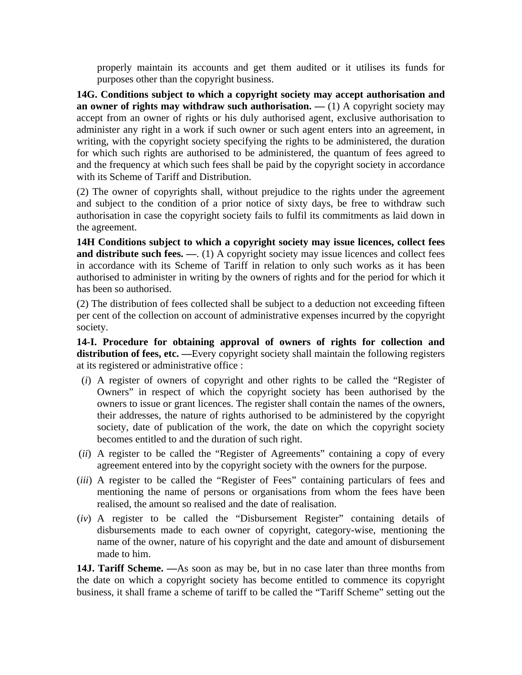properly maintain its accounts and get them audited or it utilises its funds for purposes other than the copyright business.

**14G. Conditions subject to which a copyright society may accept authorisation and an owner of rights may withdraw such authorisation. —** (1) A copyright society may accept from an owner of rights or his duly authorised agent, exclusive authorisation to administer any right in a work if such owner or such agent enters into an agreement, in writing, with the copyright society specifying the rights to be administered, the duration for which such rights are authorised to be administered, the quantum of fees agreed to and the frequency at which such fees shall be paid by the copyright society in accordance with its Scheme of Tariff and Distribution.

(2) The owner of copyrights shall, without prejudice to the rights under the agreement and subject to the condition of a prior notice of sixty days, be free to withdraw such authorisation in case the copyright society fails to fulfil its commitments as laid down in the agreement.

**14H Conditions subject to which a copyright society may issue licences, collect fees and distribute such fees.** — (1) A copyright society may issue licences and collect fees in accordance with its Scheme of Tariff in relation to only such works as it has been authorised to administer in writing by the owners of rights and for the period for which it has been so authorised.

(2) The distribution of fees collected shall be subject to a deduction not exceeding fifteen per cent of the collection on account of administrative expenses incurred by the copyright society.

**14-I. Procedure for obtaining approval of owners of rights for collection and distribution of fees, etc. —**Every copyright society shall maintain the following registers at its registered or administrative office :

- (*i*) A register of owners of copyright and other rights to be called the "Register of Owners" in respect of which the copyright society has been authorised by the owners to issue or grant licences. The register shall contain the names of the owners, their addresses, the nature of rights authorised to be administered by the copyright society, date of publication of the work, the date on which the copyright society becomes entitled to and the duration of such right.
- (*ii*) A register to be called the "Register of Agreements" containing a copy of every agreement entered into by the copyright society with the owners for the purpose.
- (*iii*) A register to be called the "Register of Fees" containing particulars of fees and mentioning the name of persons or organisations from whom the fees have been realised, the amount so realised and the date of realisation.
- (*iv*) A register to be called the "Disbursement Register" containing details of disbursements made to each owner of copyright, category-wise, mentioning the name of the owner, nature of his copyright and the date and amount of disbursement made to him.

**14J. Tariff Scheme. —**As soon as may be, but in no case later than three months from the date on which a copyright society has become entitled to commence its copyright business, it shall frame a scheme of tariff to be called the "Tariff Scheme" setting out the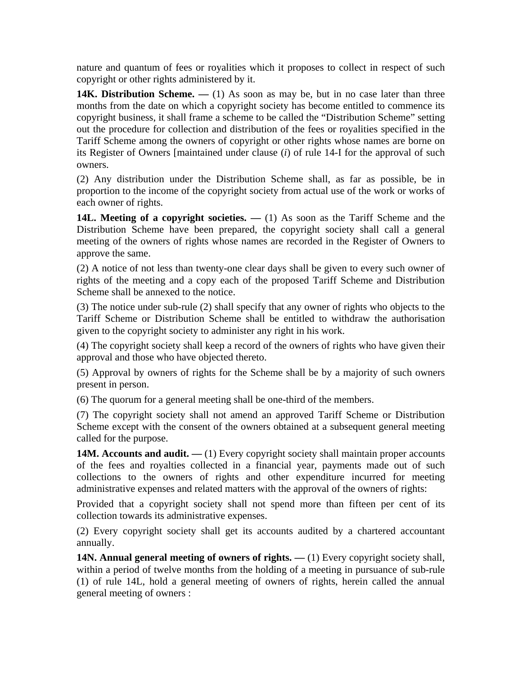nature and quantum of fees or royalities which it proposes to collect in respect of such copyright or other rights administered by it.

**14K. Distribution Scheme.** — (1) As soon as may be, but in no case later than three months from the date on which a copyright society has become entitled to commence its copyright business, it shall frame a scheme to be called the "Distribution Scheme" setting out the procedure for collection and distribution of the fees or royalities specified in the Tariff Scheme among the owners of copyright or other rights whose names are borne on its Register of Owners [maintained under clause (*i*) of rule 14-I for the approval of such owners.

(2) Any distribution under the Distribution Scheme shall, as far as possible, be in proportion to the income of the copyright society from actual use of the work or works of each owner of rights.

**14L. Meeting of a copyright societies. —** (1) As soon as the Tariff Scheme and the Distribution Scheme have been prepared, the copyright society shall call a general meeting of the owners of rights whose names are recorded in the Register of Owners to approve the same.

(2) A notice of not less than twenty-one clear days shall be given to every such owner of rights of the meeting and a copy each of the proposed Tariff Scheme and Distribution Scheme shall be annexed to the notice.

(3) The notice under sub-rule (2) shall specify that any owner of rights who objects to the Tariff Scheme or Distribution Scheme shall be entitled to withdraw the authorisation given to the copyright society to administer any right in his work.

(4) The copyright society shall keep a record of the owners of rights who have given their approval and those who have objected thereto.

(5) Approval by owners of rights for the Scheme shall be by a majority of such owners present in person.

(6) The quorum for a general meeting shall be one-third of the members.

(7) The copyright society shall not amend an approved Tariff Scheme or Distribution Scheme except with the consent of the owners obtained at a subsequent general meeting called for the purpose.

**14M. Accounts and audit.** — (1) Every copyright society shall maintain proper accounts of the fees and royalties collected in a financial year, payments made out of such collections to the owners of rights and other expenditure incurred for meeting administrative expenses and related matters with the approval of the owners of rights:

Provided that a copyright society shall not spend more than fifteen per cent of its collection towards its administrative expenses.

(2) Every copyright society shall get its accounts audited by a chartered accountant annually.

**14N. Annual general meeting of owners of rights. —** (1) Every copyright society shall, within a period of twelve months from the holding of a meeting in pursuance of sub-rule (1) of rule 14L, hold a general meeting of owners of rights, herein called the annual general meeting of owners :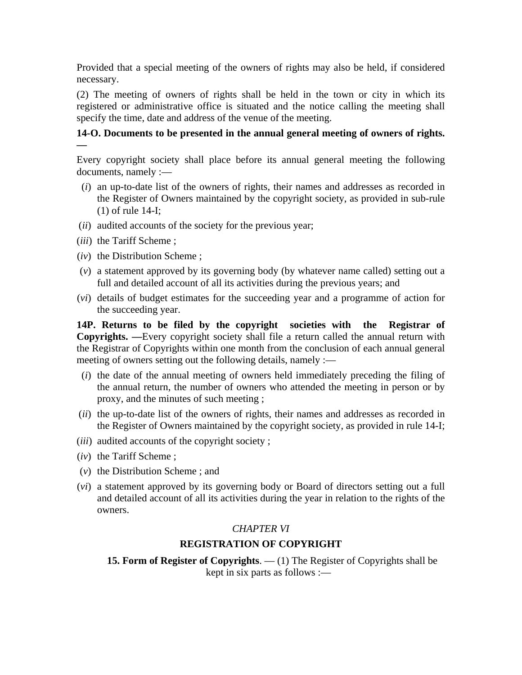Provided that a special meeting of the owners of rights may also be held, if considered necessary.

(2) The meeting of owners of rights shall be held in the town or city in which its registered or administrative office is situated and the notice calling the meeting shall specify the time, date and address of the venue of the meeting.

### **14-O. Documents to be presented in the annual general meeting of owners of rights. —**

Every copyright society shall place before its annual general meeting the following documents, namely :—

- (*i*) an up-to-date list of the owners of rights, their names and addresses as recorded in the Register of Owners maintained by the copyright society, as provided in sub-rule (1) of rule 14-I;
- (*ii*) audited accounts of the society for the previous year;
- (*iii*) the Tariff Scheme ;
- (*iv*) the Distribution Scheme ;
- (*v*) a statement approved by its governing body (by whatever name called) setting out a full and detailed account of all its activities during the previous years; and
- (*vi*) details of budget estimates for the succeeding year and a programme of action for the succeeding year.

**14P. Returns to be filed by the copyright societies with the Registrar of Copyrights. —**Every copyright society shall file a return called the annual return with the Registrar of Copyrights within one month from the conclusion of each annual general meeting of owners setting out the following details, namely :—

- (*i*) the date of the annual meeting of owners held immediately preceding the filing of the annual return, the number of owners who attended the meeting in person or by proxy, and the minutes of such meeting ;
- (*ii*) the up-to-date list of the owners of rights, their names and addresses as recorded in the Register of Owners maintained by the copyright society, as provided in rule 14-I;
- (*iii*) audited accounts of the copyright society ;
- (*iv*) the Tariff Scheme ;
- (*v*) the Distribution Scheme ; and
- (*vi*) a statement approved by its governing body or Board of directors setting out a full and detailed account of all its activities during the year in relation to the rights of the owners.

### *CHAPTER VI*

### **REGISTRATION OF COPYRIGHT**

**15. Form of Register of Copyrights**. — (1) The Register of Copyrights shall be kept in six parts as follows :—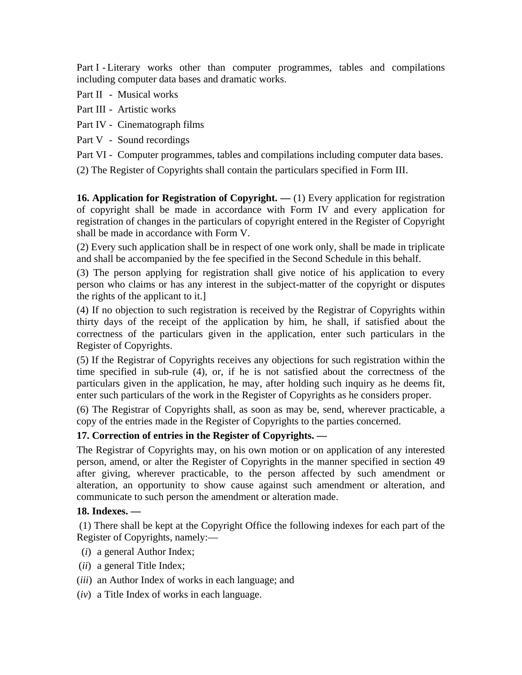Part I - Literary works other than computer programmes, tables and compilations including computer data bases and dramatic works.

- Part II Musical works
- Part III Artistic works
- Part IV Cinematograph films
- Part V Sound recordings
- Part VI Computer programmes, tables and compilations including computer data bases.

(2) The Register of Copyrights shall contain the particulars specified in Form III.

**16. Application for Registration of Copyright.** — (1) Every application for registration of copyright shall be made in accordance with Form IV and every application for registration of changes in the particulars of copyright entered in the Register of Copyright shall be made in accordance with Form V.

(2) Every such application shall be in respect of one work only, shall be made in triplicate and shall be accompanied by the fee specified in the Second Schedule in this behalf.

(3) The person applying for registration shall give notice of his application to every person who claims or has any interest in the subject-matter of the copyright or disputes the rights of the applicant to it.]

(4) If no objection to such registration is received by the Registrar of Copyrights within thirty days of the receipt of the application by him, he shall, if satisfied about the correctness of the particulars given in the application, enter such particulars in the Register of Copyrights.

(5) If the Registrar of Copyrights receives any objections for such registration within the time specified in sub-rule (4), or, if he is not satisfied about the correctness of the particulars given in the application, he may, after holding such inquiry as he deems fit, enter such particulars of the work in the Register of Copyrights as he considers proper.

(6) The Registrar of Copyrights shall, as soon as may be, send, wherever practicable, a copy of the entries made in the Register of Copyrights to the parties concerned.

## **17. Correction of entries in the Register of Copyrights. —**

The Registrar of Copyrights may, on his own motion or on application of any interested person, amend, or alter the Register of Copyrights in the manner specified in section 49 after giving, wherever practicable, to the person affected by such amendment or alteration, an opportunity to show cause against such amendment or alteration, and communicate to such person the amendment or alteration made.

### **18. Indexes. —**

 (1) There shall be kept at the Copyright Office the following indexes for each part of the Register of Copyrights, namely:—

- (*i*) a general Author Index;
- (*ii*) a general Title Index;
- (*iii*) an Author Index of works in each language; and
- (*iv*) a Title Index of works in each language.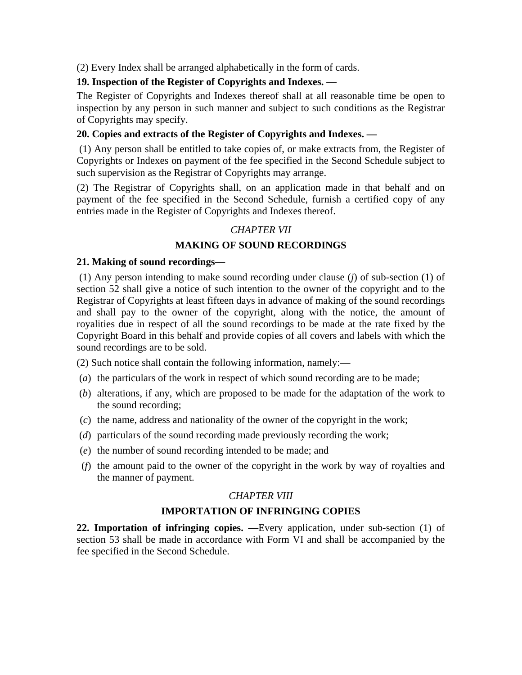(2) Every Index shall be arranged alphabetically in the form of cards.

## **19. Inspection of the Register of Copyrights and Indexes. —**

The Register of Copyrights and Indexes thereof shall at all reasonable time be open to inspection by any person in such manner and subject to such conditions as the Registrar of Copyrights may specify.

## **20. Copies and extracts of the Register of Copyrights and Indexes. —**

 (1) Any person shall be entitled to take copies of, or make extracts from, the Register of Copyrights or Indexes on payment of the fee specified in the Second Schedule subject to such supervision as the Registrar of Copyrights may arrange.

(2) The Registrar of Copyrights shall, on an application made in that behalf and on payment of the fee specified in the Second Schedule, furnish a certified copy of any entries made in the Register of Copyrights and Indexes thereof.

## *CHAPTER VII*

## **MAKING OF SOUND RECORDINGS**

### **21. Making of sound recordings—**

 (1) Any person intending to make sound recording under clause (*j*) of sub-section (1) of section 52 shall give a notice of such intention to the owner of the copyright and to the Registrar of Copyrights at least fifteen days in advance of making of the sound recordings and shall pay to the owner of the copyright, along with the notice, the amount of royalities due in respect of all the sound recordings to be made at the rate fixed by the Copyright Board in this behalf and provide copies of all covers and labels with which the sound recordings are to be sold.

(2) Such notice shall contain the following information, namely:—

- (*a*) the particulars of the work in respect of which sound recording are to be made;
- (*b*) alterations, if any, which are proposed to be made for the adaptation of the work to the sound recording;
- (*c*) the name, address and nationality of the owner of the copyright in the work;
- (*d*) particulars of the sound recording made previously recording the work;
- (*e*) the number of sound recording intended to be made; and
- (*f*) the amount paid to the owner of the copyright in the work by way of royalties and the manner of payment.

## *CHAPTER VIII*

## **IMPORTATION OF INFRINGING COPIES**

**22. Importation of infringing copies. —**Every application, under sub-section (1) of section 53 shall be made in accordance with Form VI and shall be accompanied by the fee specified in the Second Schedule.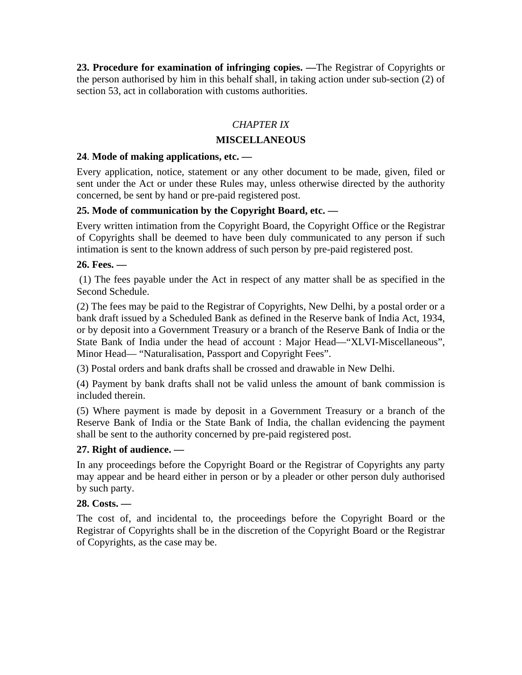**23. Procedure for examination of infringing copies. —**The Registrar of Copyrights or the person authorised by him in this behalf shall, in taking action under sub-section (2) of section 53, act in collaboration with customs authorities.

## *CHAPTER IX*

### **MISCELLANEOUS**

### **24**. **Mode of making applications, etc. —**

Every application, notice, statement or any other document to be made, given, filed or sent under the Act or under these Rules may, unless otherwise directed by the authority concerned, be sent by hand or pre-paid registered post.

### **25. Mode of communication by the Copyright Board, etc. —**

Every written intimation from the Copyright Board, the Copyright Office or the Registrar of Copyrights shall be deemed to have been duly communicated to any person if such intimation is sent to the known address of such person by pre-paid registered post.

### **26. Fees. —**

 (1) The fees payable under the Act in respect of any matter shall be as specified in the Second Schedule.

(2) The fees may be paid to the Registrar of Copyrights, New Delhi, by a postal order or a bank draft issued by a Scheduled Bank as defined in the Reserve bank of India Act, 1934, or by deposit into a Government Treasury or a branch of the Reserve Bank of India or the State Bank of India under the head of account : Major Head—"XLVI-Miscellaneous", Minor Head— "Naturalisation, Passport and Copyright Fees".

(3) Postal orders and bank drafts shall be crossed and drawable in New Delhi.

(4) Payment by bank drafts shall not be valid unless the amount of bank commission is included therein.

(5) Where payment is made by deposit in a Government Treasury or a branch of the Reserve Bank of India or the State Bank of India, the challan evidencing the payment shall be sent to the authority concerned by pre-paid registered post.

### **27. Right of audience. —**

In any proceedings before the Copyright Board or the Registrar of Copyrights any party may appear and be heard either in person or by a pleader or other person duly authorised by such party.

### **28. Costs. —**

The cost of, and incidental to, the proceedings before the Copyright Board or the Registrar of Copyrights shall be in the discretion of the Copyright Board or the Registrar of Copyrights, as the case may be.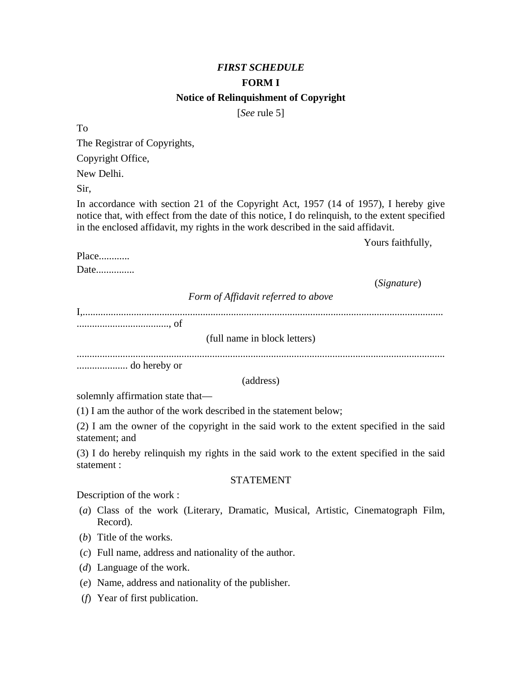## *FIRST SCHEDULE*  **FORM I Notice of Relinquishment of Copyright**

[*See* rule 5]

To

The Registrar of Copyrights,

Copyright Office,

New Delhi.

Sir,

In accordance with section 21 of the Copyright Act, 1957 (14 of 1957), I hereby give notice that, with effect from the date of this notice, I do relinquish, to the extent specified in the enclosed affidavit, my rights in the work described in the said affidavit.

Yours faithfully,

Place............

Date...............

(*Signature*)

*Form of Affidavit referred to above*

I,.............................................................................................................................................

...................................., of

(full name in block letters)

................................................................................................................................................

.................... do hereby or

(address)

solemnly affirmation state that—

(1) I am the author of the work described in the statement below;

(2) I am the owner of the copyright in the said work to the extent specified in the said statement; and

(3) I do hereby relinquish my rights in the said work to the extent specified in the said statement :

### STATEMENT

Description of the work :

- (*a*) Class of the work (Literary, Dramatic, Musical, Artistic, Cinematograph Film, Record).
- (*b*) Title of the works.
- (*c*) Full name, address and nationality of the author.
- (*d*) Language of the work.
- (*e*) Name, address and nationality of the publisher.
- (*f*) Year of first publication.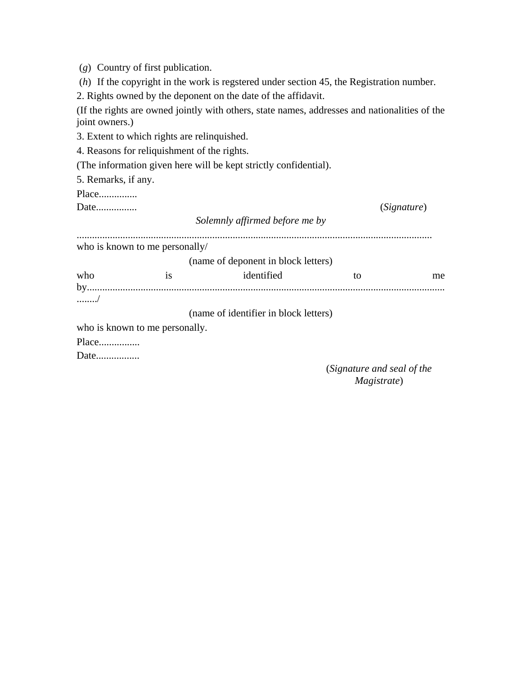(*g*) Country of first publication.

(*h*) If the copyright in the work is regstered under section 45, the Registration number.

2. Rights owned by the deponent on the date of the affidavit.

(If the rights are owned jointly with others, state names, addresses and nationalities of the joint owners.)

3. Extent to which rights are relinquished.

4. Reasons for reliquishment of the rights.

(The information given here will be kept strictly confidential).

5. Remarks, if any.

Place...............

Date................ (*Signature*)

*Solemnly affirmed before me by* ...........................................................................................................................................

who is known to me personally/

(name of deponent in block letters)

who is identified to me by............................................................................................................................................ ......../

(name of identifier in block letters)

who is known to me personally.

Place................

Date.................

 (*Signature and seal of the Magistrate*)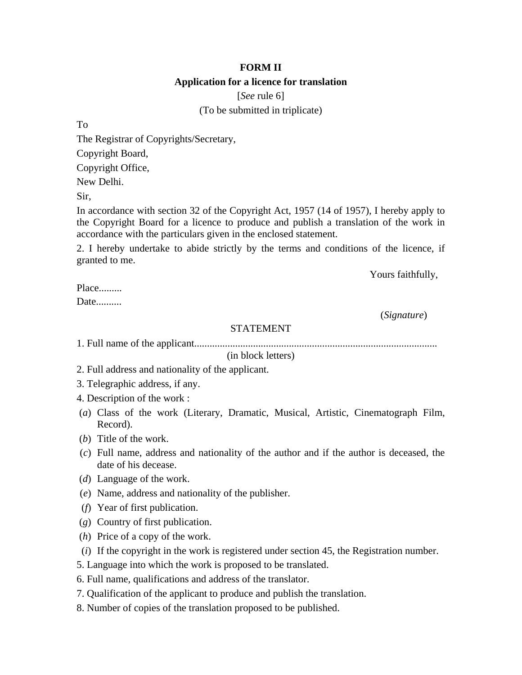## **FORM II Application for a licence for translation**

[*See* rule 6]

(To be submitted in triplicate)

To

The Registrar of Copyrights/Secretary,

Copyright Board,

Copyright Office,

New Delhi.

Sir,

In accordance with section 32 of the Copyright Act, 1957 (14 of 1957), I hereby apply to the Copyright Board for a licence to produce and publish a translation of the work in accordance with the particulars given in the enclosed statement.

2. I hereby undertake to abide strictly by the terms and conditions of the licence, if granted to me.

Yours faithfully,

Place........

Date..........

(*Signature*)

### STATEMENT

1. Full name of the applicant...............................................................................................

(in block letters)

2. Full address and nationality of the applicant.

3. Telegraphic address, if any.

4. Description of the work :

- (*a*) Class of the work (Literary, Dramatic, Musical, Artistic, Cinematograph Film, Record).
- (*b*) Title of the work.
- (*c*) Full name, address and nationality of the author and if the author is deceased, the date of his decease.
- (*d*) Language of the work.
- (*e*) Name, address and nationality of the publisher.
- (*f*) Year of first publication.
- (*g*) Country of first publication.
- (*h*) Price of a copy of the work.
- (*i*) If the copyright in the work is registered under section 45, the Registration number.
- 5. Language into which the work is proposed to be translated.
- 6. Full name, qualifications and address of the translator.
- 7. Qualification of the applicant to produce and publish the translation.
- 8. Number of copies of the translation proposed to be published.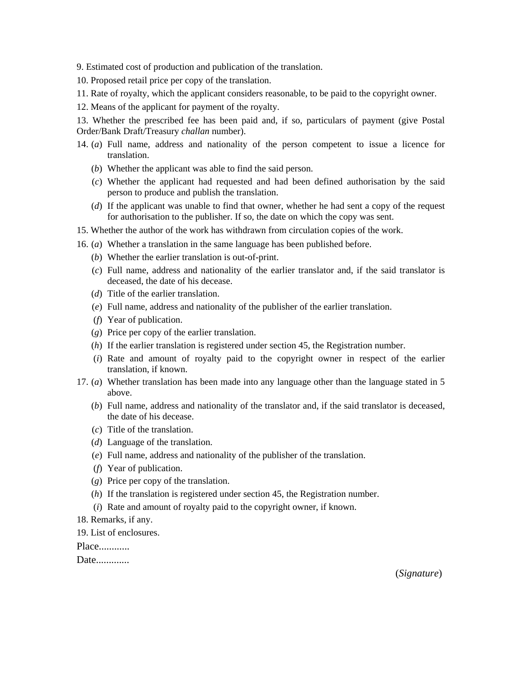9. Estimated cost of production and publication of the translation.

- 10. Proposed retail price per copy of the translation.
- 11. Rate of royalty, which the applicant considers reasonable, to be paid to the copyright owner.
- 12. Means of the applicant for payment of the royalty.

13. Whether the prescribed fee has been paid and, if so, particulars of payment (give Postal Order/Bank Draft/Treasury *challan* number).

- 14. (*a*) Full name, address and nationality of the person competent to issue a licence for translation.
	- (*b*) Whether the applicant was able to find the said person.
	- (*c*) Whether the applicant had requested and had been defined authorisation by the said person to produce and publish the translation.
	- (*d*) If the applicant was unable to find that owner, whether he had sent a copy of the request for authorisation to the publisher. If so, the date on which the copy was sent.
- 15. Whether the author of the work has withdrawn from circulation copies of the work.
- 16. (*a*) Whether a translation in the same language has been published before.
	- (*b*) Whether the earlier translation is out-of-print.
	- (*c*) Full name, address and nationality of the earlier translator and, if the said translator is deceased, the date of his decease.
	- (*d*) Title of the earlier translation.
	- (*e*) Full name, address and nationality of the publisher of the earlier translation.
	- (*f*) Year of publication.
	- (*g*) Price per copy of the earlier translation.
	- (*h*) If the earlier translation is registered under section 45, the Registration number.
	- (*i*) Rate and amount of royalty paid to the copyright owner in respect of the earlier translation, if known.
- 17. (*a*) Whether translation has been made into any language other than the language stated in 5 above.
	- (*b*) Full name, address and nationality of the translator and, if the said translator is deceased, the date of his decease.
	- (*c*) Title of the translation.
	- (*d*) Language of the translation.
	- (*e*) Full name, address and nationality of the publisher of the translation.
	- (*f*) Year of publication.
	- (*g*) Price per copy of the translation.
	- (*h*) If the translation is registered under section 45, the Registration number.
	- (*i*) Rate and amount of royalty paid to the copyright owner, if known.
- 18. Remarks, if any.
- 19. List of enclosures.

Place............

Date.............

(*Signature*)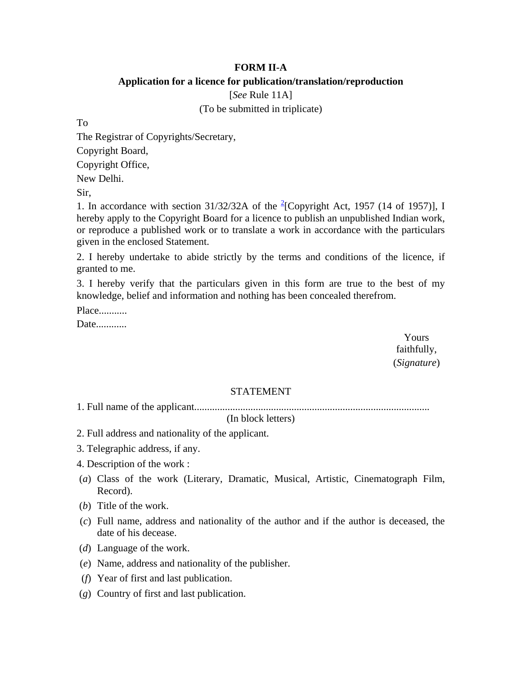### **FORM II-A**

### **Application for a licence for publication/translation/reproduction**

[*See* Rule 11A]

(To be submitted in triplicate)

To

The Registrar of Copyrights/Secretary, Copyright Board,

Copyright Office,

New Delhi.

Sir,

1. In accordance with section  $31/32/32A$  of the <sup>2</sup>[Copyright Act, 1957 (14 of 1957)], I hereby apply to the Copyright Board for a licence to publish an unpublished Indian work, or reproduce a published work or to translate a work in accordance with the particulars given in the enclosed Statement.

2. I hereby undertake to abide strictly by the terms and conditions of the licence, if granted to me.

3. I hereby verify that the particulars given in this form are true to the best of my knowledge, belief and information and nothing has been concealed therefrom.

Place...........

Date............

 Yours faithfully, (*Signature*)

### STATEMENT

1. Full name of the applicant............................................................................................

(In block letters)

- 2. Full address and nationality of the applicant.
- 3. Telegraphic address, if any.
- 4. Description of the work :
- (*a*) Class of the work (Literary, Dramatic, Musical, Artistic, Cinematograph Film, Record).
- (*b*) Title of the work.
- (*c*) Full name, address and nationality of the author and if the author is deceased, the date of his decease.
- (*d*) Language of the work.
- (*e*) Name, address and nationality of the publisher.
- (*f*) Year of first and last publication.
- (*g*) Country of first and last publication.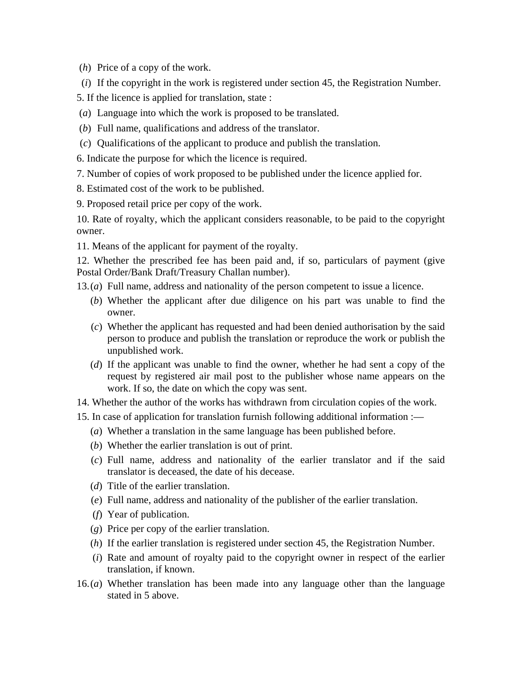(*h*) Price of a copy of the work.

- (*i*) If the copyright in the work is registered under section 45, the Registration Number.
- 5. If the licence is applied for translation, state :
- (*a*) Language into which the work is proposed to be translated.
- (*b*) Full name, qualifications and address of the translator.
- (*c*) Qualifications of the applicant to produce and publish the translation.

6. Indicate the purpose for which the licence is required.

7. Number of copies of work proposed to be published under the licence applied for.

- 8. Estimated cost of the work to be published.
- 9. Proposed retail price per copy of the work.

10. Rate of royalty, which the applicant considers reasonable, to be paid to the copyright owner.

11. Means of the applicant for payment of the royalty.

12. Whether the prescribed fee has been paid and, if so, particulars of payment (give Postal Order/Bank Draft/Treasury Challan number).

- 13. (*a*) Full name, address and nationality of the person competent to issue a licence.
	- (*b*) Whether the applicant after due diligence on his part was unable to find the owner.
	- (*c*) Whether the applicant has requested and had been denied authorisation by the said person to produce and publish the translation or reproduce the work or publish the unpublished work.
	- (*d*) If the applicant was unable to find the owner, whether he had sent a copy of the request by registered air mail post to the publisher whose name appears on the work. If so, the date on which the copy was sent.
- 14. Whether the author of the works has withdrawn from circulation copies of the work.
- 15. In case of application for translation furnish following additional information :—
	- (*a*) Whether a translation in the same language has been published before.
	- (*b*) Whether the earlier translation is out of print.
	- (*c*) Full name, address and nationality of the earlier translator and if the said translator is deceased, the date of his decease.
	- (*d*) Title of the earlier translation.
	- (*e*) Full name, address and nationality of the publisher of the earlier translation.
	- (*f*) Year of publication.
	- (*g*) Price per copy of the earlier translation.
	- (*h*) If the earlier translation is registered under section 45, the Registration Number.
	- (*i*) Rate and amount of royalty paid to the copyright owner in respect of the earlier translation, if known.
- 16. (*a*) Whether translation has been made into any language other than the language stated in 5 above.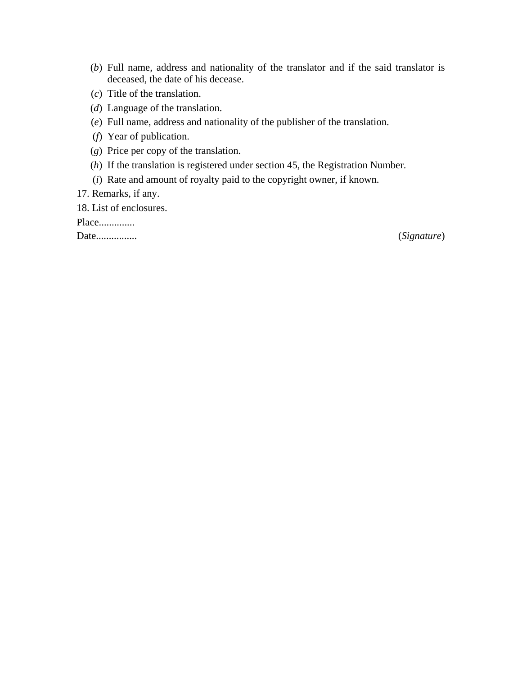- (*b*) Full name, address and nationality of the translator and if the said translator is deceased, the date of his decease.
- (*c*) Title of the translation.
- (*d*) Language of the translation.
- (*e*) Full name, address and nationality of the publisher of the translation.
- (*f*) Year of publication.
- (*g*) Price per copy of the translation.
- (*h*) If the translation is registered under section 45, the Registration Number.
- (*i*) Rate and amount of royalty paid to the copyright owner, if known.
- 17. Remarks, if any.

18. List of enclosures.

Place..............

Date................ (*Signature*)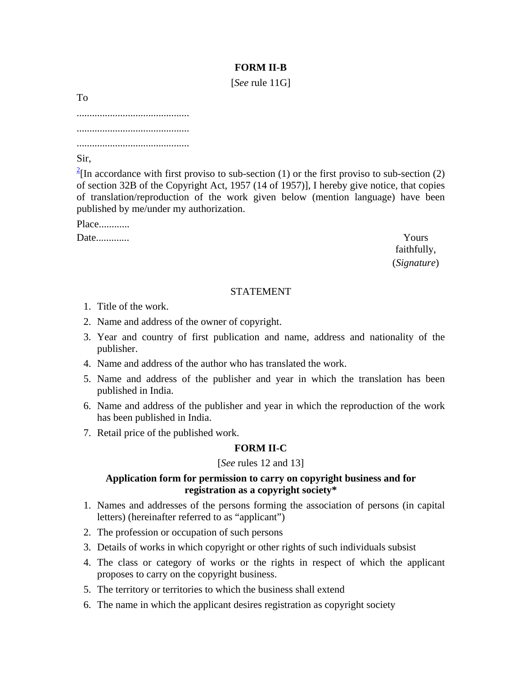## **FORM II-B**

[*See* rule 11G]

To

............................................ ............................................ ............................................

Sir,

 $2\pi$ [In accordance with first proviso to sub-section (1) or the first proviso to sub-section (2) of section 32B of the Copyright Act, 1957 (14 of 1957)], I hereby give notice, that copies of translation/reproduction of the work given below (mention language) have been published by me/under my authorization.

Place............ Date............. Yours

faithfully, (*Signature*)

### STATEMENT

- 1. Title of the work.
- 2. Name and address of the owner of copyright.
- 3. Year and country of first publication and name, address and nationality of the publisher.
- 4. Name and address of the author who has translated the work.
- 5. Name and address of the publisher and year in which the translation has been published in India.
- 6. Name and address of the publisher and year in which the reproduction of the work has been published in India.
- 7. Retail price of the published work.

## **FORM II-C**

## [*See* rules 12 and 13]

## **Application form for permission to carry on copyright business and for registration as a copyright society\***

- 1. Names and addresses of the persons forming the association of persons (in capital letters) (hereinafter referred to as "applicant")
- 2. The profession or occupation of such persons
- 3. Details of works in which copyright or other rights of such individuals subsist
- 4. The class or category of works or the rights in respect of which the applicant proposes to carry on the copyright business.
- 5. The territory or territories to which the business shall extend
- 6. The name in which the applicant desires registration as copyright society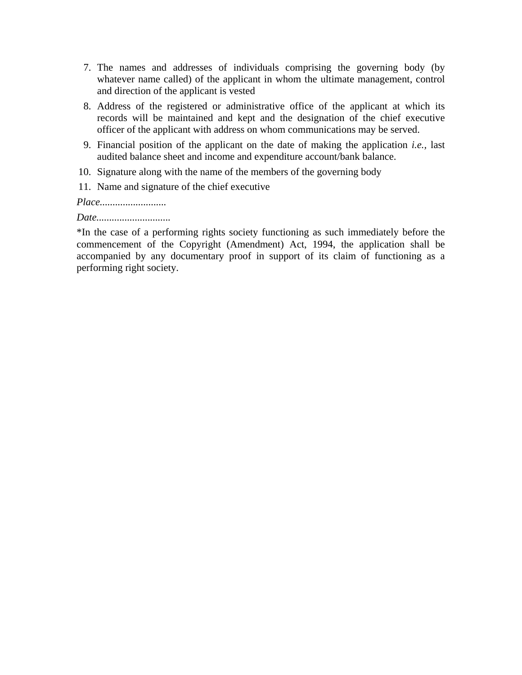- 7. The names and addresses of individuals comprising the governing body (by whatever name called) of the applicant in whom the ultimate management, control and direction of the applicant is vested
- 8. Address of the registered or administrative office of the applicant at which its records will be maintained and kept and the designation of the chief executive officer of the applicant with address on whom communications may be served.
- 9. Financial position of the applicant on the date of making the application *i.e.,* last audited balance sheet and income and expenditure account/bank balance.
- 10. Signature along with the name of the members of the governing body
- 11. Name and signature of the chief executive

*Place..........................* 

*Date.............................*

\*In the case of a performing rights society functioning as such immediately before the commencement of the Copyright (Amendment) Act, 1994, the application shall be accompanied by any documentary proof in support of its claim of functioning as a performing right society.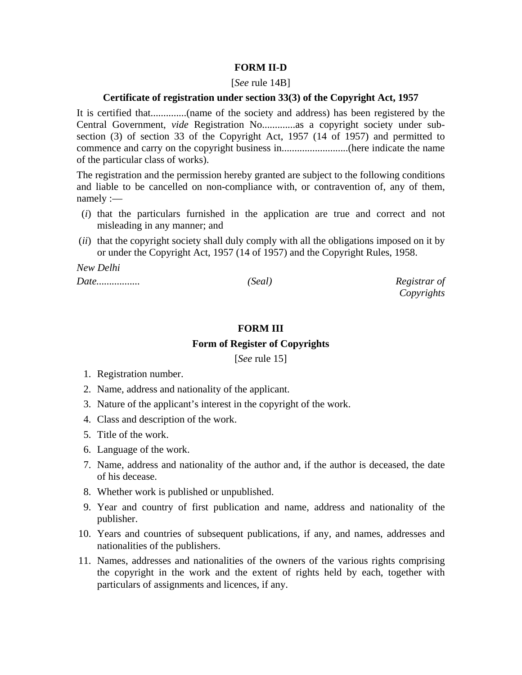### **FORM II-D**

#### [*See* rule 14B]

#### **Certificate of registration under section 33(3) of the Copyright Act, 1957**

It is certified that..............(name of the society and address) has been registered by the Central Government, *vide* Registration No.............as a copyright society under subsection (3) of section 33 of the Copyright Act, 1957 (14 of 1957) and permitted to commence and carry on the copyright business in..........................(here indicate the name of the particular class of works).

The registration and the permission hereby granted are subject to the following conditions and liable to be cancelled on non-compliance with, or contravention of, any of them, namely :—

- (*i*) that the particulars furnished in the application are true and correct and not misleading in any manner; and
- (*ii*) that the copyright society shall duly comply with all the obligations imposed on it by or under the Copyright Act, 1957 (14 of 1957) and the Copyright Rules, 1958.

*New Delhi* 

*Date................. (Seal) Registrar of* 

*Copyrights*

### **FORM III**

### **Form of Register of Copyrights**

[*See* rule 15]

- 1. Registration number.
- 2. Name, address and nationality of the applicant.
- 3. Nature of the applicant's interest in the copyright of the work.
- 4. Class and description of the work.
- 5. Title of the work.
- 6. Language of the work.
- 7. Name, address and nationality of the author and, if the author is deceased, the date of his decease.
- 8. Whether work is published or unpublished.
- 9. Year and country of first publication and name, address and nationality of the publisher.
- 10. Years and countries of subsequent publications, if any, and names, addresses and nationalities of the publishers.
- 11. Names, addresses and nationalities of the owners of the various rights comprising the copyright in the work and the extent of rights held by each, together with particulars of assignments and licences, if any.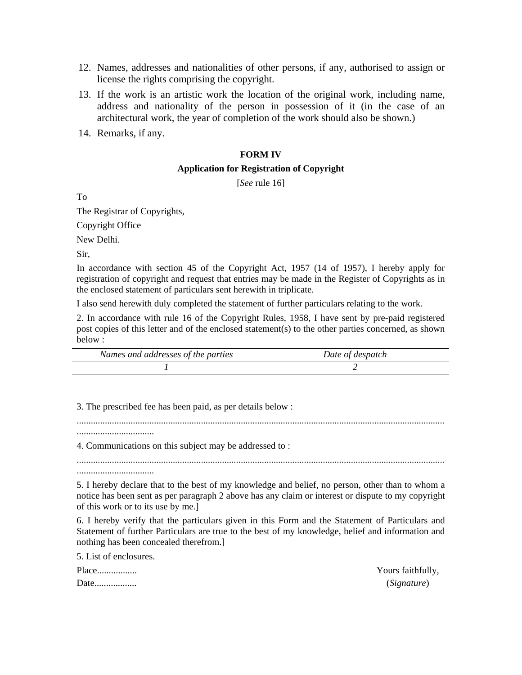- 12. Names, addresses and nationalities of other persons, if any, authorised to assign or license the rights comprising the copyright.
- 13. If the work is an artistic work the location of the original work, including name, address and nationality of the person in possession of it (in the case of an architectural work, the year of completion of the work should also be shown.)
- 14. Remarks, if any.

#### **FORM IV**

### **Application for Registration of Copyright**

[*See* rule 16]

To

The Registrar of Copyrights,

Copyright Office

New Delhi.

Sir,

In accordance with section 45 of the Copyright Act, 1957 (14 of 1957), I hereby apply for registration of copyright and request that entries may be made in the Register of Copyrights as in the enclosed statement of particulars sent herewith in triplicate.

I also send herewith duly completed the statement of further particulars relating to the work.

2. In accordance with rule 16 of the Copyright Rules, 1958, I have sent by pre-paid registered post copies of this letter and of the enclosed statement(s) to the other parties concerned, as shown below :

| Names and addresses of the parties | Date of despatch |
|------------------------------------|------------------|
|                                    |                  |

3. The prescribed fee has been paid, as per details below :

.............................................................................................................................................................

4. Communications on this subject may be addressed to :

.............................................................................................................................................................

5. I hereby declare that to the best of my knowledge and belief, no person, other than to whom a notice has been sent as per paragraph 2 above has any claim or interest or dispute to my copyright of this work or to its use by me.]

6. I hereby verify that the particulars given in this Form and the Statement of Particulars and Statement of further Particulars are true to the best of my knowledge, belief and information and nothing has been concealed therefrom.]

5. List of enclosures.

.................................

.................................

Date.................. (*Signature*)

Place................. Yours faithfully,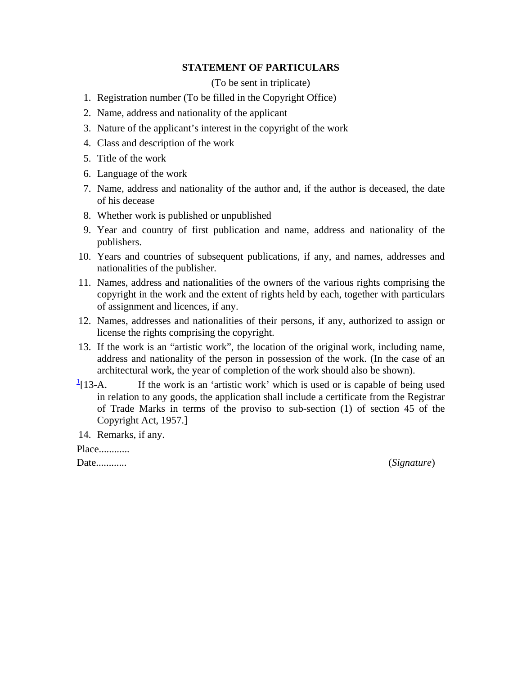### **STATEMENT OF PARTICULARS**

(To be sent in triplicate)

- 1. Registration number (To be filled in the Copyright Office)
- 2. Name, address and nationality of the applicant
- 3. Nature of the applicant's interest in the copyright of the work
- 4. Class and description of the work
- 5. Title of the work
- 6. Language of the work
- 7. Name, address and nationality of the author and, if the author is deceased, the date of his decease
- 8. Whether work is published or unpublished
- 9. Year and country of first publication and name, address and nationality of the publishers.
- 10. Years and countries of subsequent publications, if any, and names, addresses and nationalities of the publisher.
- 11. Names, address and nationalities of the owners of the various rights comprising the copyright in the work and the extent of rights held by each, together with particulars of assignment and licences, if any.
- 12. Names, addresses and nationalities of their persons, if any, authorized to assign or license the rights comprising the copyright.
- 13. If the work is an "artistic work", the location of the original work, including name, address and nationality of the person in possession of the work. (In the case of an architectural work, the year of completion of the work should also be shown).
- $\frac{1}{2}$ [13-A. If the work is an 'artistic work' which is used or is capable of being used in relation to any goods, the application shall include a certificate from the Registrar of Trade Marks in terms of the proviso to sub-section (1) of section 45 of the Copyright Act, 1957.]

14. Remarks, if any.

Place............

Date............ (*Signature*)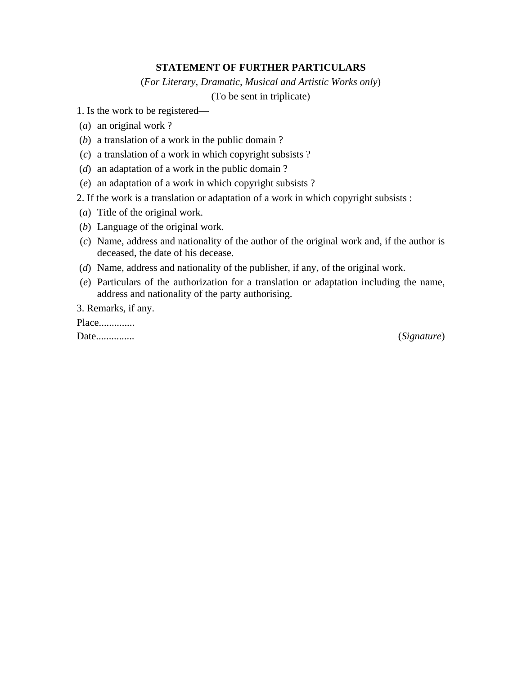### **STATEMENT OF FURTHER PARTICULARS**

(*For Literary, Dramatic, Musical and Artistic Works only*)

(To be sent in triplicate)

1. Is the work to be registered—

(*a*) an original work ?

(*b*) a translation of a work in the public domain ?

(*c*) a translation of a work in which copyright subsists ?

(*d*) an adaptation of a work in the public domain ?

(*e*) an adaptation of a work in which copyright subsists ?

2. If the work is a translation or adaptation of a work in which copyright subsists :

- (*a*) Title of the original work.
- (*b*) Language of the original work.
- (*c*) Name, address and nationality of the author of the original work and, if the author is deceased, the date of his decease.
- (*d*) Name, address and nationality of the publisher, if any, of the original work.
- (*e*) Particulars of the authorization for a translation or adaptation including the name, address and nationality of the party authorising.

3. Remarks, if any.

Place...............

Date............... (*Signature*)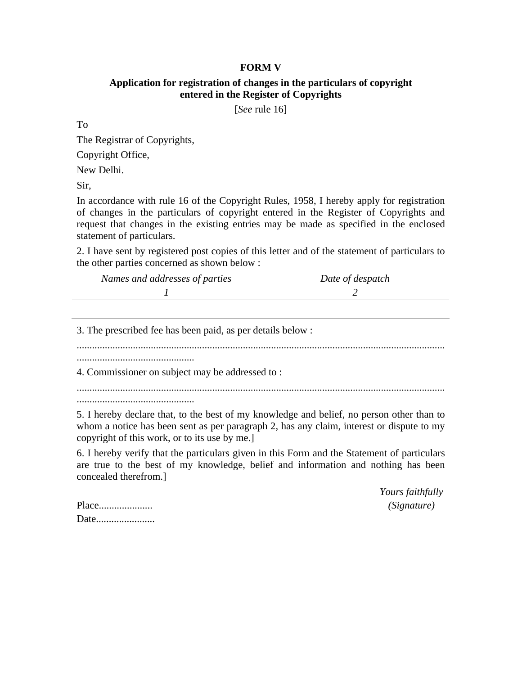### **FORM V**

### **Application for registration of changes in the particulars of copyright entered in the Register of Copyrights**

[*See* rule 16]

To

The Registrar of Copyrights,

Copyright Office,

New Delhi.

Sir,

In accordance with rule 16 of the Copyright Rules, 1958, I hereby apply for registration of changes in the particulars of copyright entered in the Register of Copyrights and request that changes in the existing entries may be made as specified in the enclosed statement of particulars.

2. I have sent by registered post copies of this letter and of the statement of particulars to the other parties concerned as shown below :

| Names and addresses of parties | Date of despatch |  |
|--------------------------------|------------------|--|
|                                |                  |  |

3. The prescribed fee has been paid, as per details below :

................................................................................................................................................

..............................................

4. Commissioner on subject may be addressed to :

................................................................................................................................................ ..............................................

5. I hereby declare that, to the best of my knowledge and belief, no person other than to whom a notice has been sent as per paragraph 2, has any claim, interest or dispute to my copyright of this work, or to its use by me.]

6. I hereby verify that the particulars given in this Form and the Statement of particulars are true to the best of my knowledge, belief and information and nothing has been concealed therefrom.]

> *Yours faithfully*  Place..................... *(Signature)*

| Place |  |
|-------|--|
| Date  |  |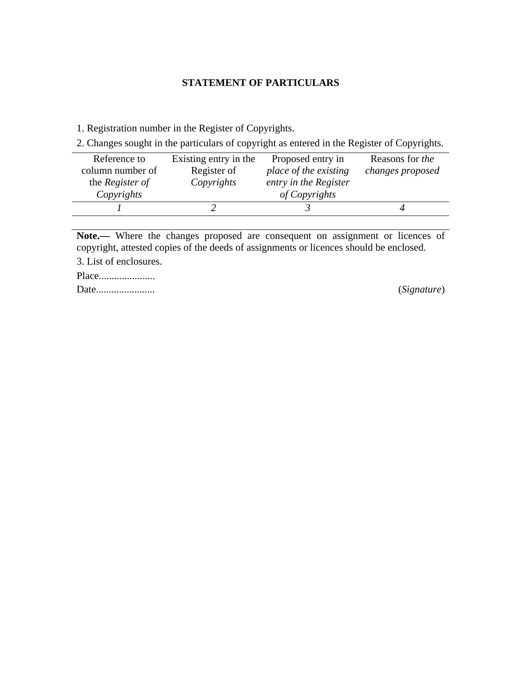## **STATEMENT OF PARTICULARS**

1. Registration number in the Register of Copyrights.

2. Changes sought in the particulars of copyright as entered in the Register of Copyrights.

| Reference to           | Existing entry in the | Proposed entry in     | Reasons for <i>the</i> |
|------------------------|-----------------------|-----------------------|------------------------|
| column number of       | Register of           | place of the existing | changes proposed       |
| the <i>Register of</i> | Copyrights            | entry in the Register |                        |
| Copyrights             |                       | of Copyrights         |                        |
|                        |                       |                       |                        |

Note.— Where the changes proposed are consequent on assignment or licences of copyright, attested copies of the deeds of assignments or licences should be enclosed.

3. List of enclosures.

Place...................... Date....................... (*Signature*)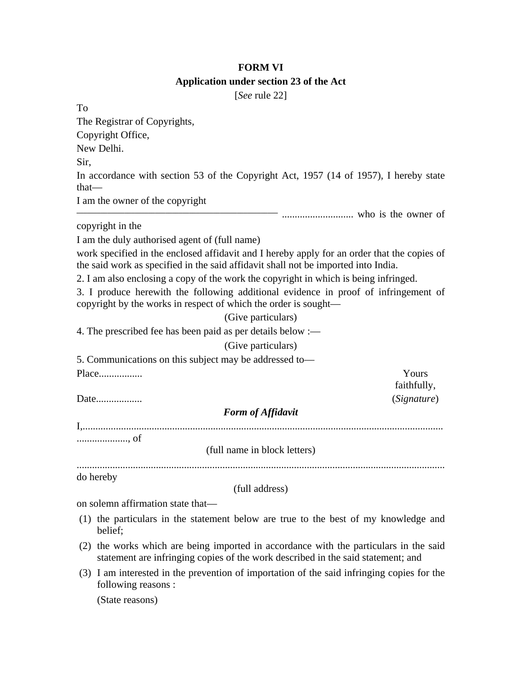## **FORM VI Application under section 23 of the Act**

[*See* rule 22]

To The Registrar of Copyrights, Copyright Office, New Delhi. Sir, In accordance with section 53 of the Copyright Act, 1957 (14 of 1957), I hereby state that— I am the owner of the copyright **\_\_\_\_\_\_\_\_\_\_\_\_\_\_\_\_\_\_\_\_\_\_\_\_\_\_\_\_\_\_\_\_\_\_\_\_\_\_\_\_\_\_\_\_\_\_\_\_\_\_\_\_\_\_\_\_\_\_\_** ............................ who is the owner of copyright in the I am the duly authorised agent of (full name) work specified in the enclosed affidavit and I hereby apply for an order that the copies of the said work as specified in the said affidavit shall not be imported into India. 2. I am also enclosing a copy of the work the copyright in which is being infringed. 3. I produce herewith the following additional evidence in proof of infringement of copyright by the works in respect of which the order is sought— (Give particulars) 4. The prescribed fee has been paid as per details below :— (Give particulars) 5. Communications on this subject may be addressed to— Place................. Yours faithfully, Date.................. (*Signature*) *Form of Affidavit*  I,............................................................................................................................................. ...................., of (full name in block letters) ................................................................................................................................................ do hereby (full address) on solemn affirmation state that— (1) the particulars in the statement below are true to the best of my knowledge and belief; (2) the works which are being imported in accordance with the particulars in the said statement are infringing copies of the work described in the said statement; and (3) I am interested in the prevention of importation of the said infringing copies for the following reasons : (State reasons)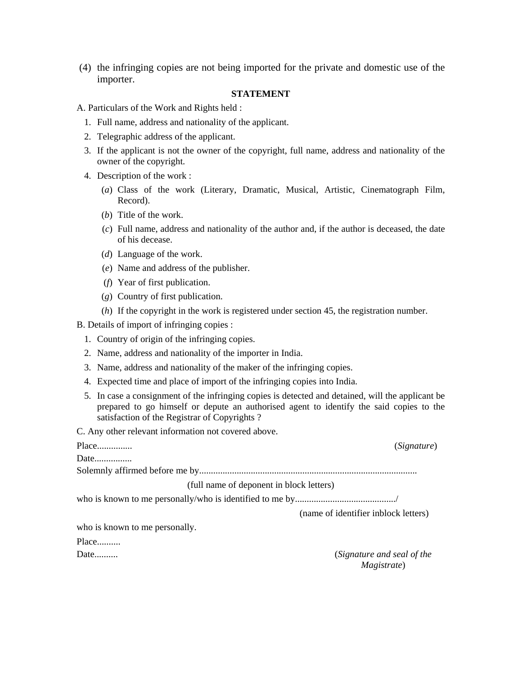(4) the infringing copies are not being imported for the private and domestic use of the importer.

### **STATEMENT**

- A. Particulars of the Work and Rights held :
	- 1. Full name, address and nationality of the applicant.
	- 2. Telegraphic address of the applicant.
	- 3. If the applicant is not the owner of the copyright, full name, address and nationality of the owner of the copyright.
	- 4. Description of the work :
		- (*a*) Class of the work (Literary, Dramatic, Musical, Artistic, Cinematograph Film, Record).
		- (*b*) Title of the work.
		- (*c*) Full name, address and nationality of the author and, if the author is deceased, the date of his decease.
		- (*d*) Language of the work.
		- (*e*) Name and address of the publisher.
		- (*f*) Year of first publication.
		- (*g*) Country of first publication.
		- (*h*) If the copyright in the work is registered under section 45, the registration number.

B. Details of import of infringing copies :

- 1. Country of origin of the infringing copies.
- 2. Name, address and nationality of the importer in India.
- 3. Name, address and nationality of the maker of the infringing copies.
- 4. Expected time and place of import of the infringing copies into India.
- 5. In case a consignment of the infringing copies is detected and detained, will the applicant be prepared to go himself or depute an authorised agent to identify the said copies to the satisfaction of the Registrar of Copyrights ?

C. Any other relevant information not covered above.

| Place                                    | (Signature)                          |
|------------------------------------------|--------------------------------------|
| Date                                     |                                      |
|                                          |                                      |
| (full name of deponent in block letters) |                                      |
|                                          |                                      |
|                                          | (name of identifier inblock letters) |
| who is known to me personally.           |                                      |
| Place                                    |                                      |
| Date                                     | (Signature and seal of the           |
|                                          | <i>Magistrate</i> )                  |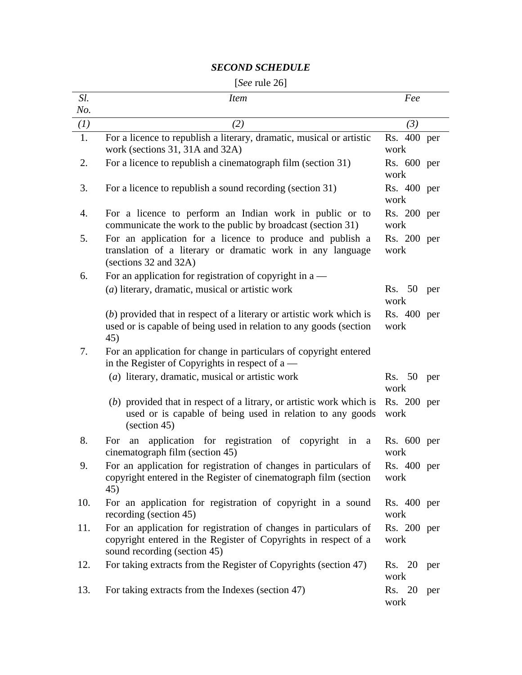## *SECOND SCHEDULE*

# [*See* rule 26]

| Sl.        | <i>Item</i>                                                                                                                                                                | Fee                 |     |
|------------|----------------------------------------------------------------------------------------------------------------------------------------------------------------------------|---------------------|-----|
| No.<br>(I) | (2)                                                                                                                                                                        | (3)                 |     |
| 1.         | For a licence to republish a literary, dramatic, musical or artistic<br>work (sections 31, 31A and 32A)                                                                    | Rs. 400 per<br>work |     |
| 2.         | For a licence to republish a cinematograph film (section 31)                                                                                                               | Rs. 600 per<br>work |     |
| 3.         | For a licence to republish a sound recording (section 31)                                                                                                                  | Rs. 400 per<br>work |     |
| 4.         | For a licence to perform an Indian work in public or to<br>communicate the work to the public by broadcast (section 31)                                                    | Rs. 200 per<br>work |     |
| 5.         | For an application for a licence to produce and publish a<br>translation of a literary or dramatic work in any language<br>(sections 32 and 32A)                           | Rs. 200 per<br>work |     |
| 6.         | For an application for registration of copyright in $a$ —                                                                                                                  |                     |     |
|            | (a) literary, dramatic, musical or artistic work                                                                                                                           | Rs. 50<br>work      | per |
|            | $(b)$ provided that in respect of a literary or artistic work which is<br>used or is capable of being used in relation to any goods (section<br>45)                        | Rs. 400 per<br>work |     |
| 7.         | For an application for change in particulars of copyright entered<br>in the Register of Copyrights in respect of $a$ —                                                     |                     |     |
|            | (a) literary, dramatic, musical or artistic work                                                                                                                           | Rs. 50<br>work      | per |
|            | $(b)$ provided that in respect of a litrary, or artistic work which is<br>used or is capable of being used in relation to any goods<br>$\left( \text{section } 45 \right)$ | Rs. 200 per<br>work |     |
| 8.         | application for registration of copyright in a<br>For<br>an<br>cinematograph film (section 45)                                                                             | Rs. 600 per<br>work |     |
| 9.         | For an application for registration of changes in particulars of<br>copyright entered in the Register of cinematograph film (section<br>45)                                | Rs. 400 per<br>work |     |
| 10.        | For an application for registration of copyright in a sound<br>recording (section 45)                                                                                      | Rs. 400 per<br>work |     |
| 11.        | For an application for registration of changes in particulars of<br>copyright entered in the Register of Copyrights in respect of a<br>sound recording (section 45)        | Rs. 200 per<br>work |     |
| 12.        | For taking extracts from the Register of Copyrights (section 47)                                                                                                           | Rs. 20<br>work      | per |
| 13.        | For taking extracts from the Indexes (section 47)                                                                                                                          | Rs. 20<br>work      | per |